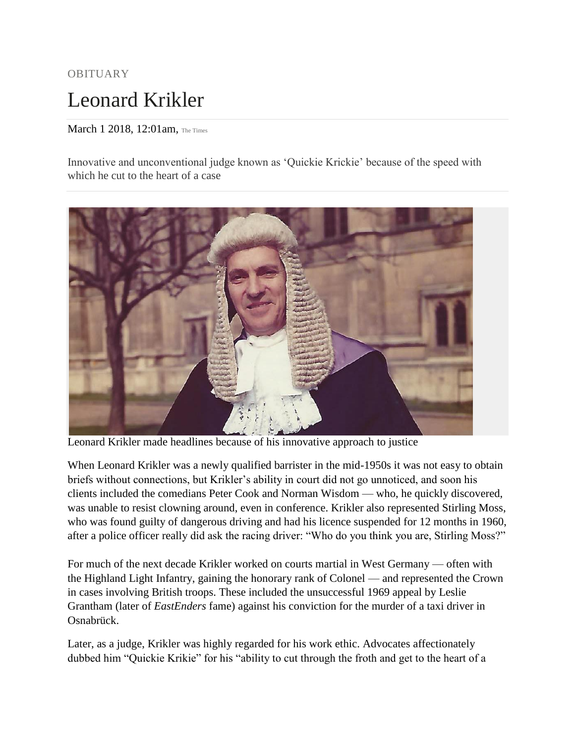## OBITUARY Leonard Krikler

## March 1 2018, 12:01am, The Times

Innovative and unconventional judge known as 'Quickie Krickie' because of the speed with which he cut to the heart of a case



Leonard Krikler made headlines because of his innovative approach to justice

When Leonard Krikler was a newly qualified barrister in the mid-1950s it was not easy to obtain briefs without connections, but Krikler's ability in court did not go unnoticed, and soon his clients included the comedians Peter Cook and Norman Wisdom — who, he quickly discovered, was unable to resist clowning around, even in conference. Krikler also represented Stirling Moss, who was found guilty of dangerous driving and had his licence suspended for 12 months in 1960, after a police officer really did ask the racing driver: "Who do you think you are, Stirling Moss?"

For much of the next decade Krikler worked on courts martial in West Germany — often with the Highland Light Infantry, gaining the honorary rank of Colonel — and represented the Crown in cases involving British troops. These included the unsuccessful 1969 appeal by Leslie Grantham (later of *EastEnders* fame) against his conviction for the murder of a taxi driver in Osnabrück.

Later, as a judge, Krikler was highly regarded for his work ethic. Advocates affectionately dubbed him "Quickie Krikie" for his "ability to cut through the froth and get to the heart of a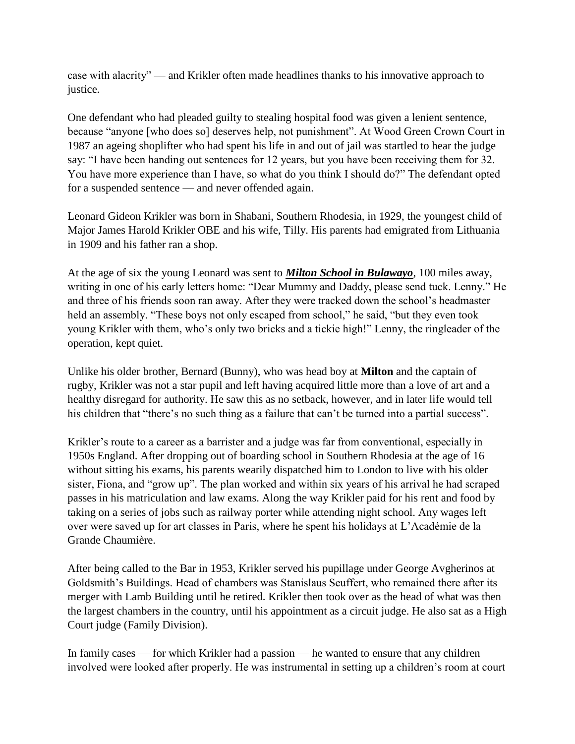case with alacrity" — and Krikler often made headlines thanks to his innovative approach to justice.

One defendant who had pleaded guilty to stealing hospital food was given a lenient sentence, because "anyone [who does so] deserves help, not punishment". At Wood Green Crown Court in 1987 an ageing shoplifter who had spent his life in and out of jail was startled to hear the judge say: "I have been handing out sentences for 12 years, but you have been receiving them for 32. You have more experience than I have, so what do you think I should do?" The defendant opted for a suspended sentence — and never offended again.

Leonard Gideon Krikler was born in Shabani, Southern Rhodesia, in 1929, the youngest child of Major James Harold Krikler OBE and his wife, Tilly. His parents had emigrated from Lithuania in 1909 and his father ran a shop.

At the age of six the young Leonard was sent to *Milton School in Bulawayo*, 100 miles away, writing in one of his early letters home: "Dear Mummy and Daddy, please send tuck. Lenny." He and three of his friends soon ran away. After they were tracked down the school's headmaster held an assembly. "These boys not only escaped from school," he said, "but they even took young Krikler with them, who's only two bricks and a tickie high!" Lenny, the ringleader of the operation, kept quiet.

Unlike his older brother, Bernard (Bunny), who was head boy at **Milton** and the captain of rugby, Krikler was not a star pupil and left having acquired little more than a love of art and a healthy disregard for authority. He saw this as no setback, however, and in later life would tell his children that "there's no such thing as a failure that can't be turned into a partial success".

Krikler's route to a career as a barrister and a judge was far from conventional, especially in 1950s England. After dropping out of boarding school in Southern Rhodesia at the age of 16 without sitting his exams, his parents wearily dispatched him to London to live with his older sister, Fiona, and "grow up". The plan worked and within six years of his arrival he had scraped passes in his matriculation and law exams. Along the way Krikler paid for his rent and food by taking on a series of jobs such as railway porter while attending night school. Any wages left over were saved up for art classes in Paris, where he spent his holidays at L'Académie de la Grande Chaumière.

After being called to the Bar in 1953, Krikler served his pupillage under George Avgherinos at Goldsmith's Buildings. Head of chambers was Stanislaus Seuffert, who remained there after its merger with Lamb Building until he retired. Krikler then took over as the head of what was then the largest chambers in the country, until his appointment as a circuit judge. He also sat as a High Court judge (Family Division).

In family cases — for which Krikler had a passion — he wanted to ensure that any children involved were looked after properly. He was instrumental in setting up a children's room at court